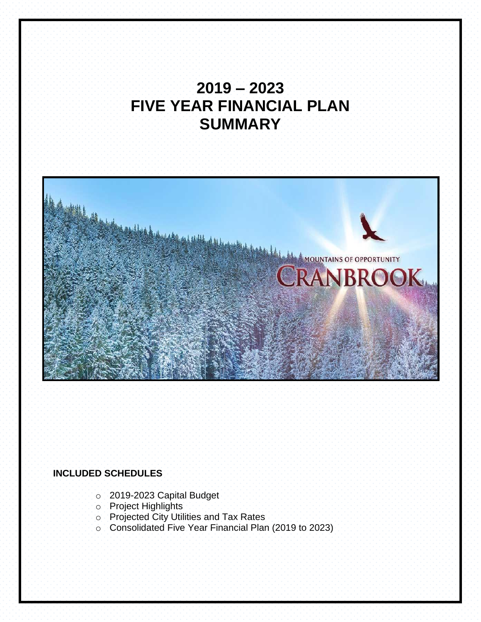# **2019 – 2023 FIVE YEAR FINANCIAL PLAN SUMMARY**



# **INCLUDED SCHEDULES**

- o 2019-2023 Capital Budget
- o Project Highlights
- o Projected City Utilities and Tax Rates
- o Consolidated Five Year Financial Plan (2019 to 2023)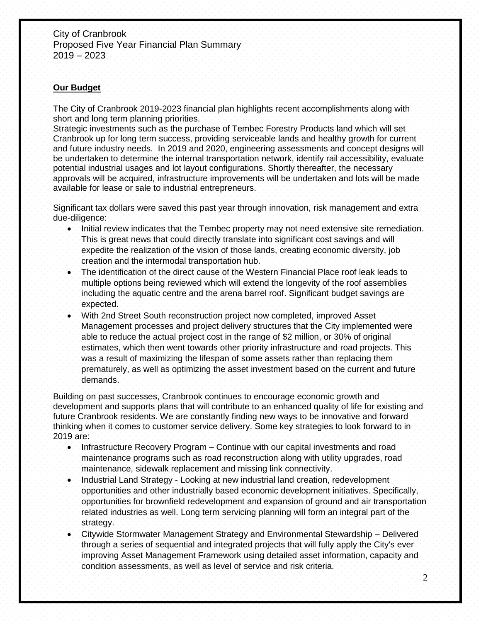# **Our Budget**

The City of Cranbrook 2019-2023 financial plan highlights recent accomplishments along with short and long term planning priorities.

Strategic investments such as the purchase of Tembec Forestry Products land which will set Cranbrook up for long term success, providing serviceable lands and healthy growth for current and future industry needs. In 2019 and 2020, engineering assessments and concept designs will be undertaken to determine the internal transportation network, identify rail accessibility, evaluate potential industrial usages and lot layout configurations. Shortly thereafter, the necessary approvals will be acquired, infrastructure improvements will be undertaken and lots will be made available for lease or sale to industrial entrepreneurs.

Significant tax dollars were saved this past year through innovation, risk management and extra due-diligence:

- Initial review indicates that the Tembec property may not need extensive site remediation. This is great news that could directly translate into significant cost savings and will expedite the realization of the vision of those lands, creating economic diversity, job creation and the intermodal transportation hub.
- The identification of the direct cause of the Western Financial Place roof leak leads to multiple options being reviewed which will extend the longevity of the roof assemblies including the aquatic centre and the arena barrel roof. Significant budget savings are expected.
- With 2nd Street South reconstruction project now completed, improved Asset Management processes and project delivery structures that the City implemented were able to reduce the actual project cost in the range of \$2 million, or 30% of original estimates, which then went towards other priority infrastructure and road projects. This was a result of maximizing the lifespan of some assets rather than replacing them prematurely, as well as optimizing the asset investment based on the current and future demands.

Building on past successes, Cranbrook continues to encourage economic growth and development and supports plans that will contribute to an enhanced quality of life for existing and future Cranbrook residents. We are constantly finding new ways to be innovative and forward thinking when it comes to customer service delivery. Some key strategies to look forward to in 2019 are:

- Infrastructure Recovery Program Continue with our capital investments and road maintenance programs such as road reconstruction along with utility upgrades, road maintenance, sidewalk replacement and missing link connectivity.
- Industrial Land Strategy Looking at new industrial land creation, redevelopment opportunities and other industrially based economic development initiatives. Specifically, opportunities for brownfield redevelopment and expansion of ground and air transportation related industries as well. Long term servicing planning will form an integral part of the strategy.
- Citywide Stormwater Management Strategy and Environmental Stewardship Delivered through a series of sequential and integrated projects that will fully apply the City's ever improving Asset Management Framework using detailed asset information, capacity and condition assessments, as well as level of service and risk criteria.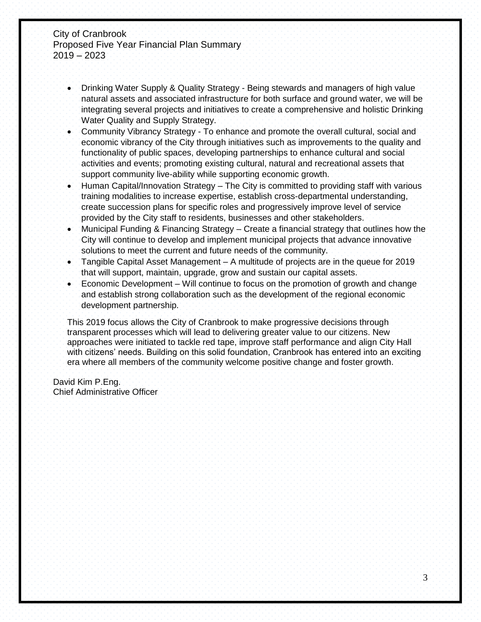- Drinking Water Supply & Quality Strategy Being stewards and managers of high value natural assets and associated infrastructure for both surface and ground water, we will be integrating several projects and initiatives to create a comprehensive and holistic Drinking Water Quality and Supply Strategy.
- Community Vibrancy Strategy To enhance and promote the overall cultural, social and economic vibrancy of the City through initiatives such as improvements to the quality and functionality of public spaces, developing partnerships to enhance cultural and social activities and events; promoting existing cultural, natural and recreational assets that support community live-ability while supporting economic growth.
- Human Capital/Innovation Strategy The City is committed to providing staff with various training modalities to increase expertise, establish cross-departmental understanding, create succession plans for specific roles and progressively improve level of service provided by the City staff to residents, businesses and other stakeholders.
- Municipal Funding & Financing Strategy Create a financial strategy that outlines how the City will continue to develop and implement municipal projects that advance innovative solutions to meet the current and future needs of the community.
- Tangible Capital Asset Management A multitude of projects are in the queue for 2019 that will support, maintain, upgrade, grow and sustain our capital assets.
- Economic Development Will continue to focus on the promotion of growth and change and establish strong collaboration such as the development of the regional economic development partnership.

This 2019 focus allows the City of Cranbrook to make progressive decisions through transparent processes which will lead to delivering greater value to our citizens. New approaches were initiated to tackle red tape, improve staff performance and align City Hall with citizens' needs. Building on this solid foundation, Cranbrook has entered into an exciting era where all members of the community welcome positive change and foster growth.

David Kim P.Eng. Chief Administrative Officer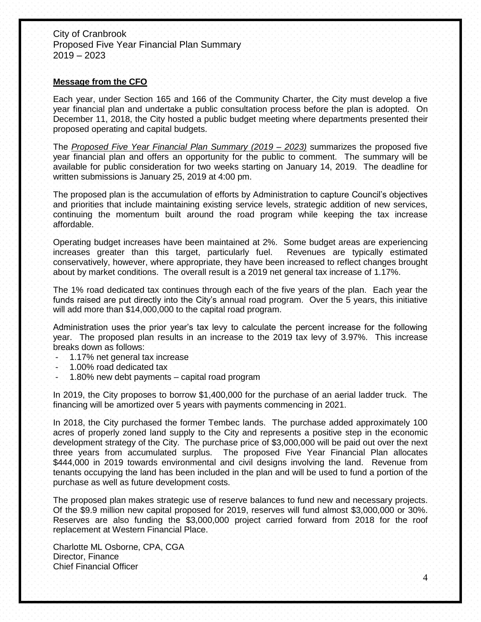#### **Message from the CFO**

Each year, under Section 165 and 166 of the Community Charter, the City must develop a five year financial plan and undertake a public consultation process before the plan is adopted. On December 11, 2018, the City hosted a public budget meeting where departments presented their proposed operating and capital budgets.

The *Proposed Five Year Financial Plan Summary (2019 – 2023)* summarizes the proposed five year financial plan and offers an opportunity for the public to comment. The summary will be available for public consideration for two weeks starting on January 14, 2019. The deadline for written submissions is January 25, 2019 at 4:00 pm.

The proposed plan is the accumulation of efforts by Administration to capture Council's objectives and priorities that include maintaining existing service levels, strategic addition of new services, continuing the momentum built around the road program while keeping the tax increase affordable.

Operating budget increases have been maintained at 2%. Some budget areas are experiencing increases greater than this target, particularly fuel. Revenues are typically estimated conservatively, however, where appropriate, they have been increased to reflect changes brought about by market conditions. The overall result is a 2019 net general tax increase of 1.17%.

The 1% road dedicated tax continues through each of the five years of the plan. Each year the funds raised are put directly into the City's annual road program. Over the 5 years, this initiative will add more than \$14,000,000 to the capital road program.

Administration uses the prior year's tax levy to calculate the percent increase for the following year. The proposed plan results in an increase to the 2019 tax levy of 3.97%. This increase breaks down as follows:

- 1.17% net general tax increase
- 1.00% road dedicated tax
- 1.80% new debt payments capital road program

In 2019, the City proposes to borrow \$1,400,000 for the purchase of an aerial ladder truck. The financing will be amortized over 5 years with payments commencing in 2021.

In 2018, the City purchased the former Tembec lands. The purchase added approximately 100 acres of properly zoned land supply to the City and represents a positive step in the economic development strategy of the City. The purchase price of \$3,000,000 will be paid out over the next three years from accumulated surplus. The proposed Five Year Financial Plan allocates \$444,000 in 2019 towards environmental and civil designs involving the land. Revenue from tenants occupying the land has been included in the plan and will be used to fund a portion of the purchase as well as future development costs.

The proposed plan makes strategic use of reserve balances to fund new and necessary projects. Of the \$9.9 million new capital proposed for 2019, reserves will fund almost \$3,000,000 or 30%. Reserves are also funding the \$3,000,000 project carried forward from 2018 for the roof replacement at Western Financial Place.

Charlotte ML Osborne, CPA, CGA Director, Finance Chief Financial Officer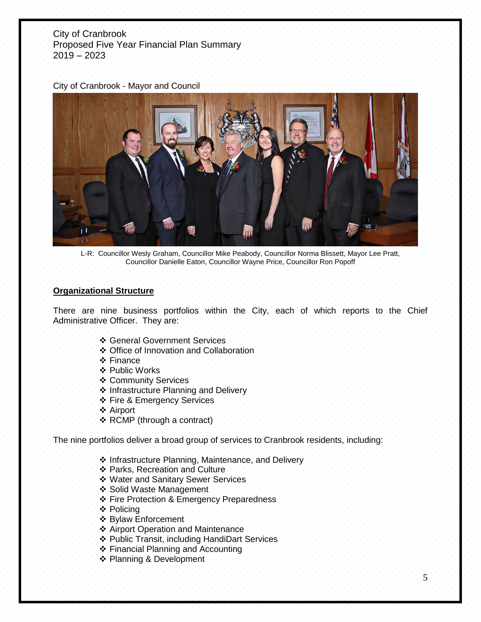#### City of Cranbrook - Mayor and Council



L-R: Councillor Wesly Graham, Councillor Mike Peabody, Councillor Norma Blissett, Mayor Lee Pratt, Councillor Danielle Eaton, Councillor Wayne Price, Councillor Ron Popoff

#### **Organizational Structure**

There are nine business portfolios within the City, each of which reports to the Chief Administrative Officer. They are:

- ❖ General Government Services
- ❖ Office of Innovation and Collaboration
- ❖ Finance
- ❖ Public Works
- ❖ Community Services
- ❖ Infrastructure Planning and Delivery
- ❖ Fire & Emergency Services
- ❖ Airport
- ❖ RCMP (through a contract)

The nine portfolios deliver a broad group of services to Cranbrook residents, including:

- ❖ Infrastructure Planning, Maintenance, and Delivery
- ❖ Parks, Recreation and Culture
- ❖ Water and Sanitary Sewer Services
- ❖ Solid Waste Management
- ❖ Fire Protection & Emergency Preparedness
- ❖ Policing
- ❖ Bylaw Enforcement
- ❖ Airport Operation and Maintenance
- ❖ Public Transit, including HandiDart Services
- ❖ Financial Planning and Accounting
- ❖ Planning & Development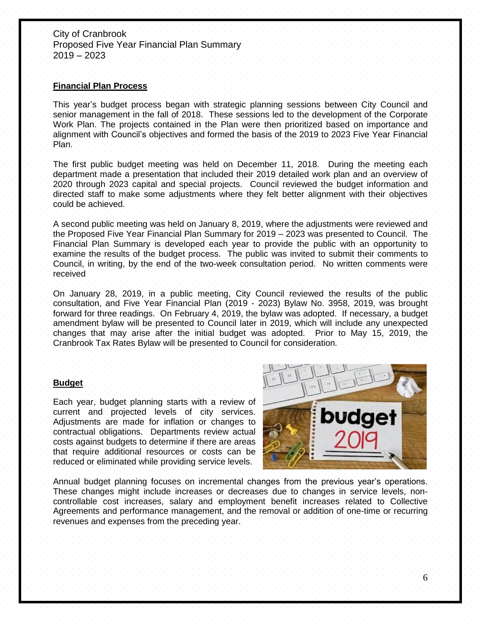#### **Financial Plan Process**

This year's budget process began with strategic planning sessions between City Council and senior management in the fall of 2018. These sessions led to the development of the Corporate Work Plan. The projects contained in the Plan were then prioritized based on importance and alignment with Council's objectives and formed the basis of the 2019 to 2023 Five Year Financial Plan.

The first public budget meeting was held on December 11, 2018. During the meeting each department made a presentation that included their 2019 detailed work plan and an overview of 2020 through 2023 capital and special projects. Council reviewed the budget information and directed staff to make some adjustments where they felt better alignment with their objectives could be achieved.

A second public meeting was held on January 8, 2019, where the adjustments were reviewed and the Proposed Five Year Financial Plan Summary for 2019 – 2023 was presented to Council. The Financial Plan Summary is developed each year to provide the public with an opportunity to examine the results of the budget process. The public was invited to submit their comments to Council, in writing, by the end of the two-week consultation period. No written comments were received

On January 28, 2019, in a public meeting, City Council reviewed the results of the public consultation, and Five Year Financial Plan (2019 - 2023) Bylaw No. 3958, 2019, was brought forward for three readings. On February 4, 2019, the bylaw was adopted. If necessary, a budget amendment bylaw will be presented to Council later in 2019, which will include any unexpected changes that may arise after the initial budget was adopted. Prior to May 15, 2019, the Cranbrook Tax Rates Bylaw will be presented to Council for consideration.

#### **Budget**

Each year, budget planning starts with a review of current and projected levels of city services. Adjustments are made for inflation or changes to contractual obligations. Departments review actual costs against budgets to determine if there are areas that require additional resources or costs can be reduced or eliminated while providing service levels.



Annual budget planning focuses on incremental changes from the previous year's operations. These changes might include increases or decreases due to changes in service levels, noncontrollable cost increases, salary and employment benefit increases related to Collective Agreements and performance management, and the removal or addition of one-time or recurring revenues and expenses from the preceding year.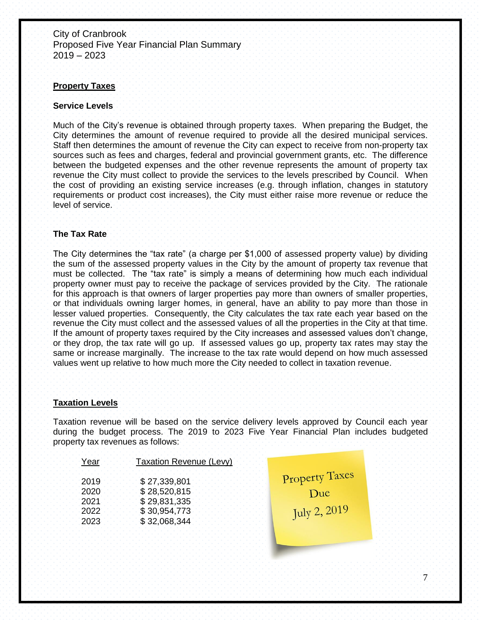#### **Property Taxes**

#### **Service Levels**

Much of the City's revenue is obtained through property taxes. When preparing the Budget, the City determines the amount of revenue required to provide all the desired municipal services. Staff then determines the amount of revenue the City can expect to receive from non-property tax sources such as fees and charges, federal and provincial government grants, etc. The difference between the budgeted expenses and the other revenue represents the amount of property tax revenue the City must collect to provide the services to the levels prescribed by Council. When the cost of providing an existing service increases (e.g. through inflation, changes in statutory requirements or product cost increases), the City must either raise more revenue or reduce the level of service.

#### **The Tax Rate**

The City determines the "tax rate" (a charge per \$1,000 of assessed property value) by dividing the sum of the assessed property values in the City by the amount of property tax revenue that must be collected. The "tax rate" is simply a means of determining how much each individual property owner must pay to receive the package of services provided by the City. The rationale for this approach is that owners of larger properties pay more than owners of smaller properties, or that individuals owning larger homes, in general, have an ability to pay more than those in lesser valued properties. Consequently, the City calculates the tax rate each year based on the revenue the City must collect and the assessed values of all the properties in the City at that time. If the amount of property taxes required by the City increases and assessed values don't change, or they drop, the tax rate will go up. If assessed values go up, property tax rates may stay the same or increase marginally. The increase to the tax rate would depend on how much assessed values went up relative to how much more the City needed to collect in taxation revenue.

#### **Taxation Levels**

Taxation revenue will be based on the service delivery levels approved by Council each year during the budget process. The 2019 to 2023 Five Year Financial Plan includes budgeted property tax revenues as follows:

| 'ea | Taxation Revenue (Levy)                                                      |                                       |
|-----|------------------------------------------------------------------------------|---------------------------------------|
|     | \$27,339,801<br>\$28,520,815<br>\$29,831,335<br>\$30,954,773<br>\$32,068,344 | Property Taxes<br>)ue<br>July 2, 2019 |
|     |                                                                              |                                       |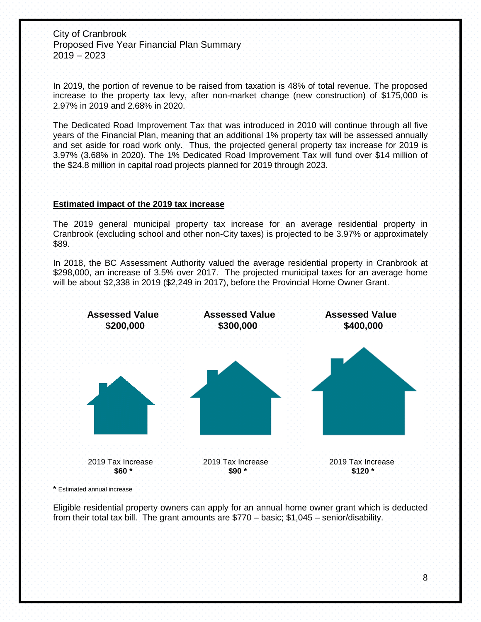In 2019, the portion of revenue to be raised from taxation is 48% of total revenue. The proposed increase to the property tax levy, after non-market change (new construction) of \$175,000 is 2.97% in 2019 and 2.68% in 2020.

The Dedicated Road Improvement Tax that was introduced in 2010 will continue through all five years of the Financial Plan, meaning that an additional 1% property tax will be assessed annually and set aside for road work only. Thus, the projected general property tax increase for 2019 is 3.97% (3.68% in 2020). The 1% Dedicated Road Improvement Tax will fund over \$14 million of the \$24.8 million in capital road projects planned for 2019 through 2023.

## **Estimated impact of the 2019 tax increase**

The 2019 general municipal property tax increase for an average residential property in Cranbrook (excluding school and other non-City taxes) is projected to be 3.97% or approximately \$89.

In 2018, the BC Assessment Authority valued the average residential property in Cranbrook at \$298,000, an increase of 3.5% over 2017. The projected municipal taxes for an average home will be about \$2,338 in 2019 (\$2,249 in 2017), before the Provincial Home Owner Grant.



**\*** Estimated annual increase

Eligible residential property owners can apply for an annual home owner grant which is deducted from their total tax bill. The grant amounts are \$770 – basic; \$1,045 – senior/disability.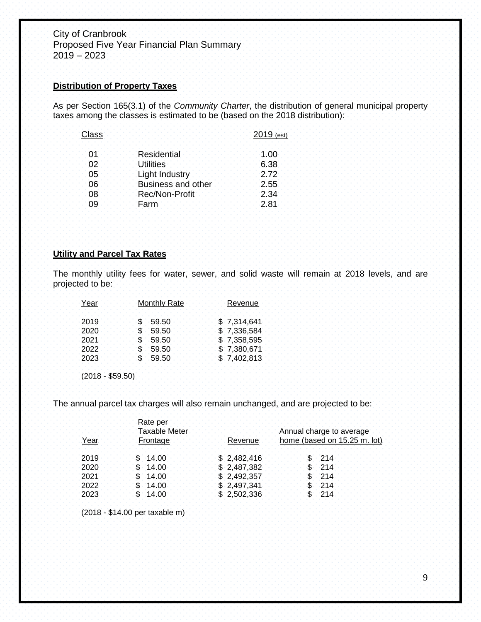#### **Distribution of Property Taxes**

As per Section 165(3.1) of the *Community Charter*, the distribution of general municipal property taxes among the classes is estimated to be (based on the 2018 distribution):

| Class |                       | 2019 (est) |
|-------|-----------------------|------------|
| 01    | Residential           | 1:00       |
| 02    | <b>Utilities</b>      | 6.38       |
| 05    | <b>Light Industry</b> | 2.72       |
| 06    | Business and other    | 2.55       |
| 08    | <b>Rec/Non-Profit</b> | 2.34       |
| Ω9    |                       | 2 R1       |

#### **Utility and Parcel Tax Rates**

The monthly utility fees for water, sewer, and solid waste will remain at 2018 levels, and are projected to be:

| Year | Monthly Rate | Revenue     |
|------|--------------|-------------|
| 2019 | \$.59.50     | \$7,314,641 |
| 2020 | \$.59.50     | \$7,336,584 |
| 2021 | \$.59.50     | \$7,358,595 |
| 2022 | \$59.50      | \$7,380,671 |
| 2023 | \$59.50      | \$7,402,813 |

(2018 - \$59.50)

The annual parcel tax charges will also remain unchanged, and are projected to be:

| Year | Rate per<br><b>Taxable Meter</b><br>Frontage | Revenue.    | Annual charge to average<br>home (based on 15.25 m. lot) |
|------|----------------------------------------------|-------------|----------------------------------------------------------|
| 2019 | 14.00                                        | \$2,482,416 |                                                          |
| 2020 | .14.00                                       | \$2,487,382 | 214                                                      |
| 2021 | 14.00                                        | \$2,492,357 | 214                                                      |
| 2022 | \$14.00                                      | \$2,497,341 | 214                                                      |
| 2023 | \$14.00                                      | \$2,502,336 | .214                                                     |

(2018 - \$14.00 per taxable m)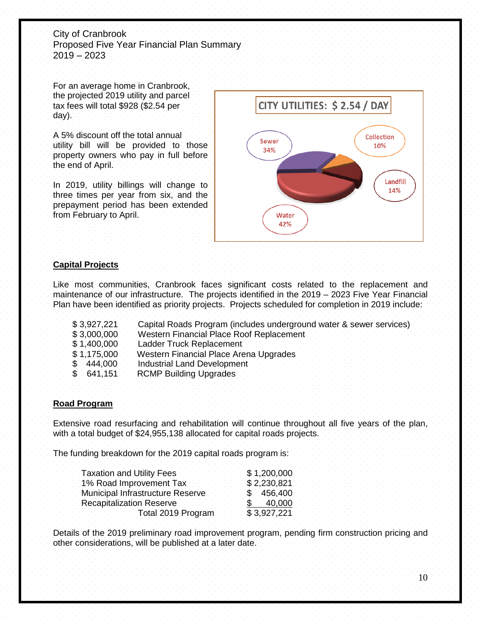For an average home in Cranbrook, the projected 2019 utility and parcel tax fees will total \$928 (\$2.54 per day).

A 5% discount off the total annual utility bill will be provided to those property owners who pay in full before the end of April.

In 2019, utility billings will change to three times per year from six, and the prepayment period has been extended from February to April.



# **Capital Projects**

Like most communities, Cranbrook faces significant costs related to the replacement and maintenance of our infrastructure. The projects identified in the 2019 – 2023 Five Year Financial Plan have been identified as priority projects. Projects scheduled for completion in 2019 include:

 \$ 3,927,221 Capital Roads Program (includes underground water & sewer services) \$ 3,000,000 Western Financial Place Roof Replacement \$ 1,400,000 Ladder Truck Replacement \$1,175,000 Western Financial Place Arena Upgrades \$444,000 Industrial Land Development \$ 641,151 RCMP Building Upgrades

## **Road Program**

Extensive road resurfacing and rehabilitation will continue throughout all five years of the plan, with a total budget of \$24,955,138 allocated for capital roads projects.

The funding breakdown for the 2019 capital roads program is:

| <b>Taxation and Utility Fees</b> | \$1,200,000 |
|----------------------------------|-------------|
| 1% Road Improvement Tax          | \$2,230,821 |
| Municipal Infrastructure Reserve | \$456,400   |
| Recapitalization Reserve         | \$40,000    |
| Total 2019 Program               | \$3,927,221 |

Details of the 2019 preliminary road improvement program, pending firm construction pricing and other considerations, will be published at a later date.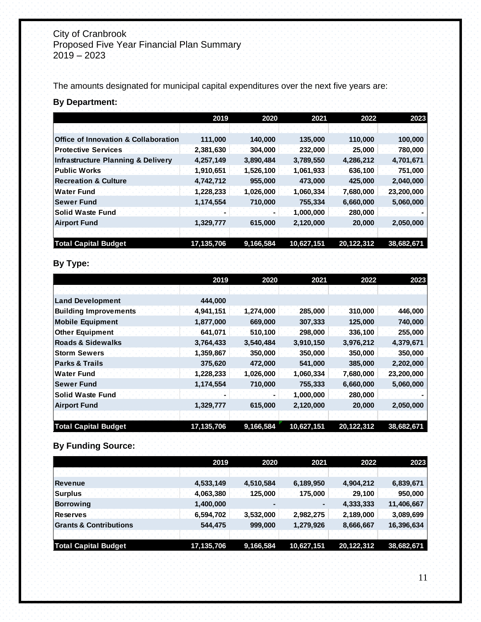The amounts designated for municipal capital expenditures over the next five years are:

# **By Department:**

|                                                 | 2019       | 2020      | 2021       | 2022       | 2023       |
|-------------------------------------------------|------------|-----------|------------|------------|------------|
|                                                 |            |           |            |            |            |
| <b>Office of Innovation &amp; Collaboration</b> | 111,000    | 140,000   | 135,000    | 110,000    | 100,000    |
| <b>Protective Services</b>                      | 2,381,630  | 304,000   | 232,000    | 25,000     | 780,000    |
| Infrastructure Planning & Delivery              | 4,257,149  | 3,890,484 | 3,789,550  | 4,286,212  | 4,701,671  |
| <b>Public Works</b>                             | 1,910,651  | 1,526,100 | 1,061,933  | 636,100    | 751,000    |
| <b>Recreation &amp; Culture</b>                 | 4,742,712  | 955,000   | 473,000    | 425,000    | 2,040,000  |
| <b>IWater Fund</b>                              | 1,228,233  | 1,026,000 | 1,060,334  | 7,680,000  | 23,200,000 |
| <b>Sewer Fund</b>                               | 1,174,554  | 710,000   | 755,334    | 6,660,000  | 5,060,000  |
| <b>Solid Waste Fund</b>                         |            |           | 1,000,000  | 280,000    |            |
| <b>Airport Fund</b>                             | 1,329,777  | 615,000   | 2,120,000  | 20,000     | 2,050,000  |
|                                                 |            |           |            |            |            |
| <b>Total Capital Budget</b>                     | 17,135,706 | 9,166,584 | 10,627,151 | 20,122,312 | 38,682,671 |

# **By Type:**

|                              | 2019       | 2020      | 2021       | 2022       | 2023       |
|------------------------------|------------|-----------|------------|------------|------------|
|                              |            |           |            |            |            |
| <b>Land Development</b>      | 444,000    |           |            |            |            |
| <b>Building Improvements</b> | 4,941,151  | 1,274,000 | 285,000    | 310,000    | 446,000    |
| <b>Mobile Equipment</b>      | 1,877,000  | 669,000   | 307,333    | 125,000    | 740,000    |
| <b>Other Equipment</b>       | 641,071    | 510,100   | 298,000    | 336,100    | 255,000    |
| Roads & Sidewalks            | 3,764,433  | 3,540,484 | 3,910,150  | 3,976,212  | 4,379,671  |
| <b>Storm Sewers</b>          | 1,359,867  | 350,000   | 350,000    | 350,000    | 350,000    |
| <b>Parks &amp; Trails</b>    | 375,620    | 472,000   | 541,000    | 385,000    | 2,202,000  |
| <b>Water Fund</b>            | 1,228,233  | 1,026,000 | 1,060,334  | 7,680,000  | 23,200,000 |
| <b>Sewer Fund</b>            | 1,174,554  | 710,000   | 755,333    | 6,660,000  | 5,060,000  |
| Solid Waste Fund             |            |           | 1,000,000  | 280,000    |            |
| <b>Airport Fund</b>          | 1,329,777  | 615,000   | 2,120,000  | 20,000     | 2,050,000  |
|                              |            |           |            |            |            |
| <b>Total Capital Budget</b>  | 17,135,706 | 9,166,584 | 10,627,151 | 20,122,312 | 38,682,671 |

# **By Funding Source:**

|                                 | 2019       | 2020      | 2021       | 2022       | 2023       |
|---------------------------------|------------|-----------|------------|------------|------------|
|                                 |            |           |            |            |            |
| Revenue                         | 4,533,149  | 4,510,584 | 6,189,950  | 4,904,212  | 6,839,671  |
| <b>Surplus</b>                  | 4,063,380  | 125,000   | 175,000    | 29,100     | 950,000    |
| Borrowing                       | 1,400,000  |           |            | 4,333,333  | 11,406,667 |
| <b>Reserves</b>                 | 6,594,702  | 3,532,000 | 2,982,275  | 2,189,000  | 3,089,699  |
| <b>S</b> Grants & Contributions | 544,475    | 999,000   | 1,279,926  | 8,666,667  | 16,396,634 |
|                                 |            |           |            |            |            |
| <b>Total Capital Budget</b>     | 17,135,706 | 9,166,584 | 10,627,151 | 20,122,312 | 38,682,671 |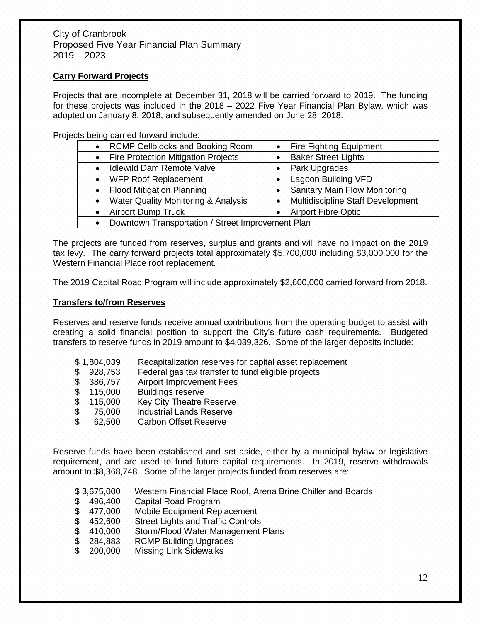#### **Carry Forward Projects**

Projects that are incomplete at December 31, 2018 will be carried forward to 2019. The funding for these projects was included in the 2018 – 2022 Five Year Financial Plan Bylaw, which was adopted on January 8, 2018, and subsequently amended on June 28, 2018.

Projects being carried forward include:

| <b>RCMP Cellblocks and Booking Room</b>           | • Fire Fighting Equipment            |
|---------------------------------------------------|--------------------------------------|
| • Fire Protection Mitigation Projects             | • Baker Street Lights                |
| <b>Idlewild Dam Remote Valve</b>                  | Park Upgrades                        |
| • WFP Roof Replacement                            | • Lagoon Building VFD                |
| <b>Flood Mitigation Planning</b>                  | <b>Sanitary Main Flow Monitoring</b> |
| • Water Quality Monitoring & Analysis             | • Multidiscipline Staff Development  |
| • Airport Dump Truck                              | • Airport Fibre Optic                |
| Downtown Transportation / Street Improvement Plan |                                      |

The projects are funded from reserves, surplus and grants and will have no impact on the 2019 tax levy. The carry forward projects total approximately \$5,700,000 including \$3,000,000 for the Western Financial Place roof replacement.

The 2019 Capital Road Program will include approximately \$2,600,000 carried forward from 2018.

#### **Transfers to/from Reserves**

Reserves and reserve funds receive annual contributions from the operating budget to assist with creating a solid financial position to support the City's future cash requirements. Budgeted transfers to reserve funds in 2019 amount to \$4,039,326. Some of the larger deposits include:

- \$ 1,804,039 Recapitalization reserves for capital asset replacement
- \$928,753 Federal gas tax transfer to fund eligible projects<br>\$386,757 Airport Improvement Fees
- 386,757 Airport Improvement Fees
- \$ 115,000 Buildings reserve<br>\$ 115,000 Key City Theatre F
- \$ 115,000 Key City Theatre Reserve<br>\$ 75,000 Industrial Lands Reserve
- \$ 75,000 Industrial Lands Reserve<br>\$ 62,500 Carbon Offset Reserve
- 62,500 Carbon Offset Reserve

Reserve funds have been established and set aside, either by a municipal bylaw or legislative requirement, and are used to fund future capital requirements. In 2019, reserve withdrawals amount to \$8,368,748. Some of the larger projects funded from reserves are:

- \$ 3,675,000 Western Financial Place Roof, Arena Brine Chiller and Boards
- \$496,400 Capital Road Program<br>\$477,000 Mobile Equipment Rep
- Mobile Equipment Replacement
- \$ 452,600 Street Lights and Traffic Controls
- \$ 410,000 Storm/Flood Water Management Plans
- \$ 284,883 RCMP Building Upgrades<br>\$ 200,000 Missing Link Sidewalks
- 200,000 Missing Link Sidewalks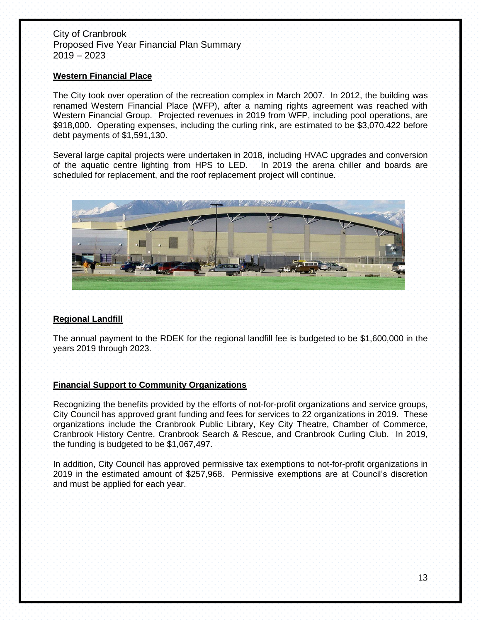#### **Western Financial Place**

The City took over operation of the recreation complex in March 2007. In 2012, the building was renamed Western Financial Place (WFP), after a naming rights agreement was reached with Western Financial Group. Projected revenues in 2019 from WFP, including pool operations, are \$918,000. Operating expenses, including the curling rink, are estimated to be \$3,070,422 before debt payments of \$1,591,130.

Several large capital projects were undertaken in 2018, including HVAC upgrades and conversion of the aquatic centre lighting from HPS to LED. In 2019 the arena chiller and boards are scheduled for replacement, and the roof replacement project will continue.



## **Regional Landfill**

The annual payment to the RDEK for the regional landfill fee is budgeted to be \$1,600,000 in the years 2019 through 2023.

## **Financial Support to Community Organizations**

Recognizing the benefits provided by the efforts of not-for-profit organizations and service groups, City Council has approved grant funding and fees for services to 22 organizations in 2019. These organizations include the Cranbrook Public Library, Key City Theatre, Chamber of Commerce, Cranbrook History Centre, Cranbrook Search & Rescue, and Cranbrook Curling Club. In 2019, the funding is budgeted to be \$1,067,497.

In addition, City Council has approved permissive tax exemptions to not-for-profit organizations in 2019 in the estimated amount of \$257,968. Permissive exemptions are at Council's discretion and must be applied for each year.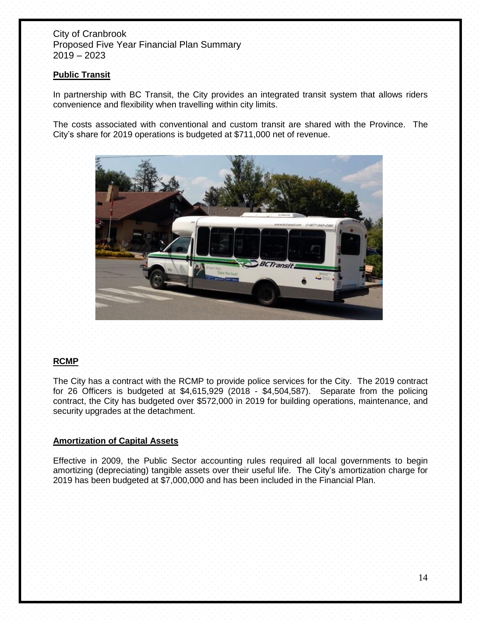## **Public Transit**

In partnership with BC Transit, the City provides an integrated transit system that allows riders convenience and flexibility when travelling within city limits.

The costs associated with conventional and custom transit are shared with the Province. The City's share for 2019 operations is budgeted at \$711,000 net of revenue.



## **RCMP**

The City has a contract with the RCMP to provide police services for the City. The 2019 contract for 26 Officers is budgeted at \$4,615,929 (2018 - \$4,504,587). Separate from the policing contract, the City has budgeted over \$572,000 in 2019 for building operations, maintenance, and security upgrades at the detachment.

## **Amortization of Capital Assets**

Effective in 2009, the Public Sector accounting rules required all local governments to begin amortizing (depreciating) tangible assets over their useful life. The City's amortization charge for 2019 has been budgeted at \$7,000,000 and has been included in the Financial Plan.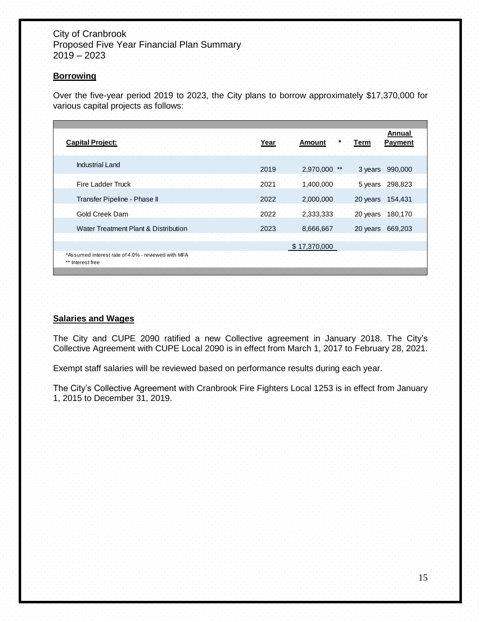## **Borrowing**

Over the five-year period 2019 to 2023, the City plans to borrow approximately \$17,370,000 for various capital projects as follows:

| <b>Capital Project:</b>                                                | Year | Amount       | l erm    | Annual<br>Payment |  |
|------------------------------------------------------------------------|------|--------------|----------|-------------------|--|
|                                                                        |      |              |          |                   |  |
| <b>Industrial Land</b>                                                 | 2019 | 2,970,000    | 3 years  | 990,000           |  |
| <b>Fire Ladder Truck</b>                                               | 2021 | 1,400,000    | 5 years  | 298,823           |  |
| Transfer Pipeline - Phase II                                           | 2022 | 2,000,000    | 20 years | 154,431           |  |
| Gold Creek Dam                                                         | 2022 | 2,333,333    | 20 years | 180,170           |  |
| Water Treatment Plant & Distribution                                   | 2023 | 8,666,667    | 20 years | 669,203           |  |
|                                                                        |      | \$17,370,000 |          |                   |  |
| *Assumed interest rate of 4.0% - reviewed with MFA<br>** Interest free |      |              |          |                   |  |

## **Salaries and Wages**

The City and CUPE 2090 ratified a new Collective agreement in January 2018. The City's Collective Agreement with CUPE Local 2090 is in effect from March 1, 2017 to February 28, 2021.

Exempt staff salaries will be reviewed based on performance results during each year.

The City's Collective Agreement with Cranbrook Fire Fighters Local 1253 is in effect from January 1, 2015 to December 31, 2019.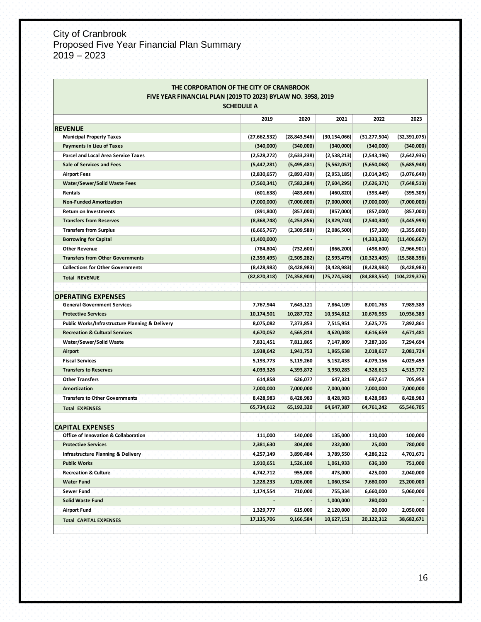| THE CORPORATION OF THE CITY OF CRANBROOK<br>FIVE YEAR FINANCIAL PLAN (2019 TO 2023) BYLAW NO. 3958, 2019 |                |                |                |                |                 |  |  |
|----------------------------------------------------------------------------------------------------------|----------------|----------------|----------------|----------------|-----------------|--|--|
| <b>SCHEDULE A</b>                                                                                        |                |                |                |                |                 |  |  |
|                                                                                                          | 2019           | 2020           | 2021           | 2022           | 2023            |  |  |
| <b>REVENUE</b>                                                                                           |                |                |                |                |                 |  |  |
| <b>Municipal Property Taxes</b>                                                                          | (27,662,532)   | (28, 843, 546) | (30, 154, 066) | (31, 277, 504) | (32, 391, 075)  |  |  |
| <b>Payments in Lieu of Taxes</b>                                                                         | (340,000)      | (340,000)      | (340,000)      | (340,000)      | (340,000)       |  |  |
| <b>Parcel and Local Area Service Taxes</b>                                                               | (2,528,272)    | (2,633,238)    | (2,538,213)    | (2,543,196)    | (2,642,936)     |  |  |
| <b>Sale of Services and Fees</b>                                                                         | (5,447,281)    | (5,495,481)    | (5,562,057)    | (5,650,068)    | (5,685,948)     |  |  |
| <b>Airport Fees</b>                                                                                      | (2,830,657)    | (2,893,439)    | (2,953,185)    | (3,014,245)    | (3,076,649)     |  |  |
| <b>Water/Sewer/Solid Waste Fees</b>                                                                      | (7,560,341)    | (7,582,284)    | (7,604,295)    | (7,626,371)    | (7,648,513)     |  |  |
| <b>Rentals</b>                                                                                           | (601, 638)     | (483, 606)     | (460, 820)     | (393, 449)     | (395, 309)      |  |  |
| <b>Non-Funded Amortization</b>                                                                           | (7,000,000)    | (7,000,000)    | (7,000,000)    | (7,000,000)    | (7,000,000)     |  |  |
| <b>Return on Investments</b>                                                                             | (891, 800)     | (857,000)      | (857,000)      | (857,000)      | (857,000)       |  |  |
| <b>Transfers from Reserves</b>                                                                           | (8,368,748)    | (4,253,856)    | (3,829,740)    | (2,540,300)    | (3,445,999)     |  |  |
| <b>Transfers from Surplus</b>                                                                            | (6,665,767)    | (2,309,589)    | (2,086,500)    | (57, 100)      | (2,355,000)     |  |  |
| <b>Borrowing for Capital</b>                                                                             | (1,400,000)    |                |                | (4,333,333)    | (11, 406, 667)  |  |  |
| <b>Other Revenue</b>                                                                                     | (784, 804)     | (732,600)      | (866, 200)     | (498, 600)     | (2,966,901)     |  |  |
| <b>Transfers from Other Governments</b>                                                                  | (2,359,495)    | (2,505,282)    | (2,593,479)    | (10, 323, 405) | (15,588,396)    |  |  |
| <b>Collections for Other Governments</b>                                                                 | (8,428,983)    | (8,428,983)    | (8,428,983)    | (8,428,983)    | (8,428,983)     |  |  |
| <b>Total REVENUE</b>                                                                                     | (82, 870, 318) | (74,358,904)   | (75, 274, 538) | (84, 883, 554) | (104, 229, 376) |  |  |
|                                                                                                          |                |                |                |                |                 |  |  |
| <b>OPERATING EXPENSES</b>                                                                                |                |                |                |                |                 |  |  |
| <b>General Government Services</b>                                                                       | 7,767,944      | 7,643,121      | 7,864,109      | 8,001,763      | 7,989,389       |  |  |
| <b>Protective Services</b>                                                                               | 10,174,501     | 10,287,722     | 10,354,812     | 10,676,953     | 10,936,383      |  |  |
| Public Works/Infrastructure Planning & Delivery                                                          | 8,075,082      | 7,373,853      | 7,515,951      | 7,625,775      | 7,892,861       |  |  |
| <b>Recreation &amp; Cultural Services</b>                                                                | 4,670,052      | 4,565,814      | 4,620,048      | 4,616,659      | 4,671,481       |  |  |
| Water/Sewer/Solid Waste                                                                                  | 7,831,451      | 7,811,865      | 7,147,809      | 7,287,106      | 7,294,694       |  |  |
| Airport                                                                                                  | 1,938,642      | 1,941,753      | 1,965,638      | 2,018,617      | 2,081,724       |  |  |
| <b>Fiscal Services</b>                                                                                   | 5,193,773      | 5,119,260      | 5,152,433      | 4,079,156      | 4,029,459       |  |  |
| <b>Transfers to Reserves</b>                                                                             | 4,039,326      | 4,393,872      | 3,950,283      | 4,328,613      | 4,515,772       |  |  |
| <b>Other Transfers</b>                                                                                   | 614,858        | 626,077        | 647,321        | 697,617        | 705,959         |  |  |
| Amortization                                                                                             | 7,000,000      | 7,000,000      | 7,000,000      | 7,000,000      | 7,000,000       |  |  |
| <b>Transfers to Other Governments</b>                                                                    | 8,428,983      | 8,428,983      | 8,428,983      | 8,428,983      | 8,428,983       |  |  |
| <b>Total EXPENSES</b>                                                                                    | 65,734,612     | 65,192,320     | 64,647,387     | 64,761,242     | 65,546,705      |  |  |
|                                                                                                          |                |                |                |                |                 |  |  |
| <b>CAPITAL EXPENSES</b>                                                                                  |                |                |                |                |                 |  |  |
| Office of Innovation & Collaboration                                                                     | 111,000        | 140,000        | 135,000        | 110,000        | 100,000         |  |  |
| <b>Protective Services</b>                                                                               | 2,381,630      | 304,000        | 232,000        | 25,000         | 780,000         |  |  |
| Infrastructure Planning & Delivery                                                                       | 4,257,149      | 3,890,484      | 3,789,550      | 4,286,212      | 4,701,671       |  |  |
| <b>Public Works</b>                                                                                      | 1,910,651      | 1,526,100      | 1,061,933      | 636,100        | 751,000         |  |  |
| <b>Recreation &amp; Culture</b>                                                                          | 4,742,712      | 955,000        | 473,000        | 425,000        | 2,040,000       |  |  |
| <b>Water Fund</b>                                                                                        | 1,228,233      | 1,026,000      | 1,060,334      | 7,680,000      | 23,200,000      |  |  |
| Sewer Fund                                                                                               | 1,174,554      | 710,000        | 755,334        | 6,660,000      | 5,060,000       |  |  |
| <b>Solid Waste Fund</b>                                                                                  |                |                | 1,000,000      | 280,000        |                 |  |  |
| <b>Airport Fund</b>                                                                                      | 1,329,777      | 615,000        | 2,120,000      | 20,000         | 2,050,000       |  |  |
| <b>Total CAPITAL EXPENSES</b>                                                                            | 17,135,706     | 9,166,584      | 10,627,151     | 20,122,312     | 38,682,671      |  |  |
|                                                                                                          |                |                |                |                |                 |  |  |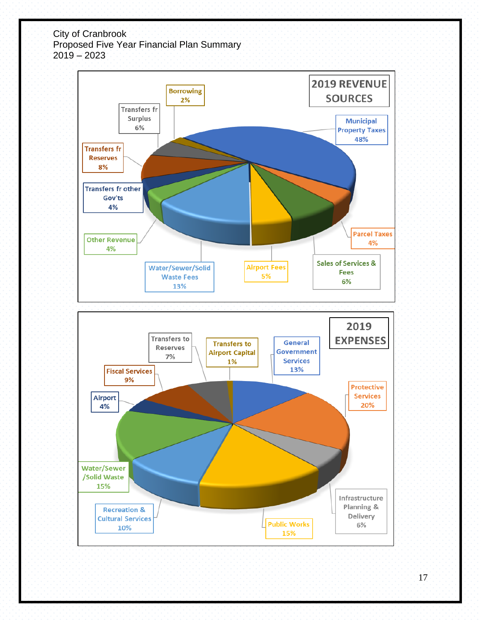